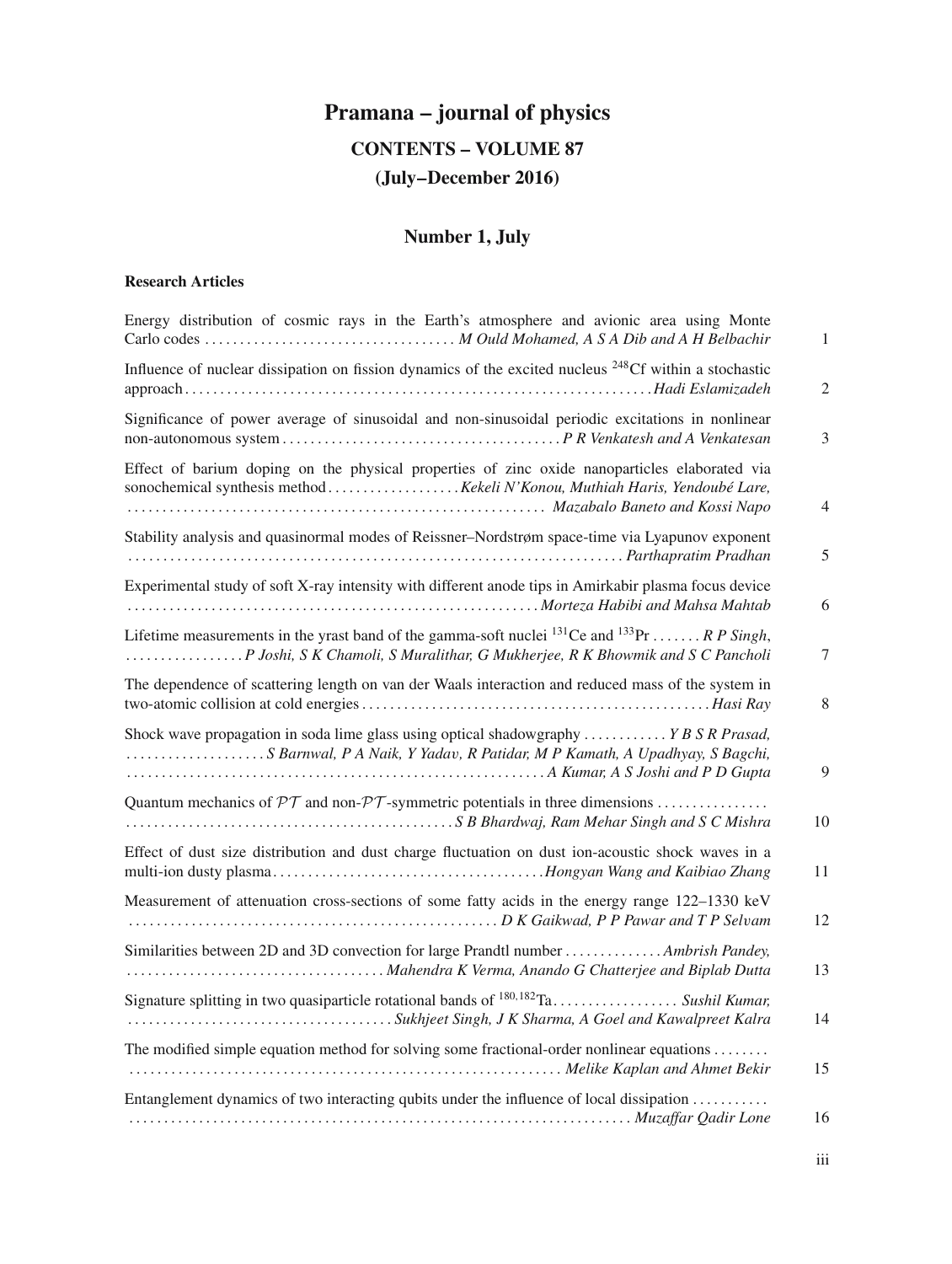# **Pramana – journal of physics CONTENTS – VOLUME 87 (July–December 2016)**

## **Number 1, July**

#### **Research Articles**

| Energy distribution of cosmic rays in the Earth's atmosphere and avionic area using Monte                                                                                                                           | $\mathbf{1}$ |
|---------------------------------------------------------------------------------------------------------------------------------------------------------------------------------------------------------------------|--------------|
| Influence of nuclear dissipation on fission dynamics of the excited nucleus <sup>248</sup> Cf within a stochastic                                                                                                   | 2            |
| Significance of power average of sinusoidal and non-sinusoidal periodic excitations in nonlinear                                                                                                                    | 3            |
| Effect of barium doping on the physical properties of zinc oxide nanoparticles elaborated via<br>Mazabalo Baneto and Kossi Napo                                                                                     | 4            |
| Stability analysis and quasinormal modes of Reissner-Nordstrøm space-time via Lyapunov exponent<br>response and a particular contact the contract of the contract of the contract of the contract of the contract o | 5            |
| Experimental study of soft X-ray intensity with different anode tips in Amirkabir plasma focus device<br>Morteza Habibi and Mahsa Mahtabi Antara Mahtabi and Mahsa Mahtab                                           | 6            |
| Lifetime measurements in the yrast band of the gamma-soft nuclei $^{131}$ Ce and $^{133}$ Pr  R P Singh,<br>P Joshi, S K Chamoli, S Muralithar, G Mukherjee, R K Bhowmik and S C Pancholi                           | 7            |
| The dependence of scattering length on van der Waals interaction and reduced mass of the system in                                                                                                                  | 8            |
| Shock wave propagation in soda lime glass using optical shadowgraphy  Y B S R Prasad,<br>S Barnwal, P A Naik, Y Yadav, R Patidar, M P Kamath, A Upadhyay, S Bagchi,                                                 | 9            |
| Quantum mechanics of $\mathcal{PT}$ and non- $\mathcal{PT}$ -symmetric potentials in three dimensions<br>S B Bhardwaj, Ram Mehar Singh and S C Mishra                                                               | 10           |
| Effect of dust size distribution and dust charge fluctuation on dust ion-acoustic shock waves in a                                                                                                                  | 11           |
| Measurement of attenuation cross-sections of some fatty acids in the energy range 122-1330 keV                                                                                                                      | 12           |
| Similarities between 2D and 3D convection for large Prandtl number  Ambrish Pandey,                                                                                                                                 | 13           |
| Signature splitting in two quasiparticle rotational bands of $180,182$ Ta Sushil Kumar,                                                                                                                             | 14           |
| The modified simple equation method for solving some fractional-order nonlinear equations<br>Melike Kaplan and Ahmet Bekir                                                                                          | 15           |
| Entanglement dynamics of two interacting qubits under the influence of local dissipation                                                                                                                            | 16           |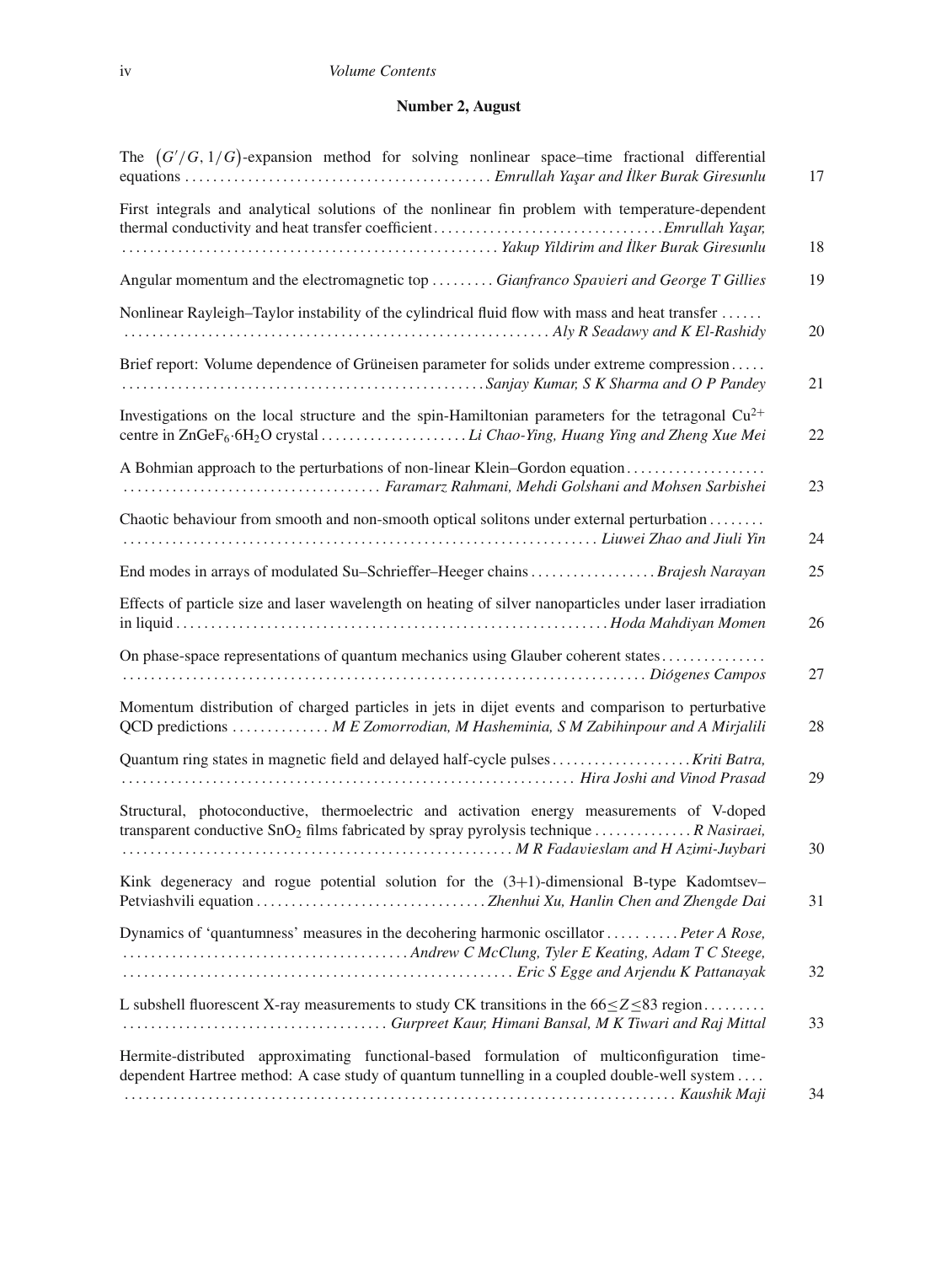#### iv *Volume Contents*

#### **Number 2, August**

| The $(G'/G, 1/G)$ -expansion method for solving nonlinear space-time fractional differential                                                                                                                 | 17 |
|--------------------------------------------------------------------------------------------------------------------------------------------------------------------------------------------------------------|----|
| First integrals and analytical solutions of the nonlinear fin problem with temperature-dependent                                                                                                             | 18 |
| Angular momentum and the electromagnetic top  Gianfranco Spavieri and George T Gillies                                                                                                                       | 19 |
| Nonlinear Rayleigh–Taylor instability of the cylindrical fluid flow with mass and heat transfer                                                                                                              | 20 |
| Brief report: Volume dependence of Grüneisen parameter for solids under extreme compression                                                                                                                  | 21 |
| Investigations on the local structure and the spin-Hamiltonian parameters for the tetragonal $Cu^{2+}$<br>centre in ZnGeF <sub>6</sub> .6H <sub>2</sub> O crystal Li Chao-Ying, Huang Ying and Zheng Xue Mei | 22 |
| A Bohmian approach to the perturbations of non-linear Klein–Gordon equation                                                                                                                                  | 23 |
| Chaotic behaviour from smooth and non-smooth optical solitons under external perturbation                                                                                                                    | 24 |
| End modes in arrays of modulated Su-Schrieffer-Heeger chains  Brajesh Narayan                                                                                                                                | 25 |
| Effects of particle size and laser wavelength on heating of silver nanoparticles under laser irradiation                                                                                                     | 26 |
| On phase-space representations of quantum mechanics using Glauber coherent states                                                                                                                            |    |
|                                                                                                                                                                                                              | 27 |
| Momentum distribution of charged particles in jets in dijet events and comparison to perturbative<br>QCD predictions  M E Zomorrodian, M Hasheminia, S M Zabihinpour and A Mirjalili                         | 28 |
|                                                                                                                                                                                                              | 29 |
| Structural, photoconductive, thermoelectric and activation energy measurements of V-doped<br>transparent conductive $SnO2$ films fabricated by spray pyrolysis technique  R Nasiraei,                        | 30 |
| Kink degeneracy and rogue potential solution for the $(3+1)$ -dimensional B-type Kadomtsev-                                                                                                                  | 31 |
| Dynamics of 'quantumness' measures in the decohering harmonic oscillator  Peter A Rose,                                                                                                                      | 32 |
| L subshell fluorescent X-ray measurements to study CK transitions in the $66 \le Z \le 83$ region                                                                                                            | 33 |
| Hermite-distributed approximating functional-based formulation of multiconfiguration time-<br>dependent Hartree method: A case study of quantum tunnelling in a coupled double-well system                   | 34 |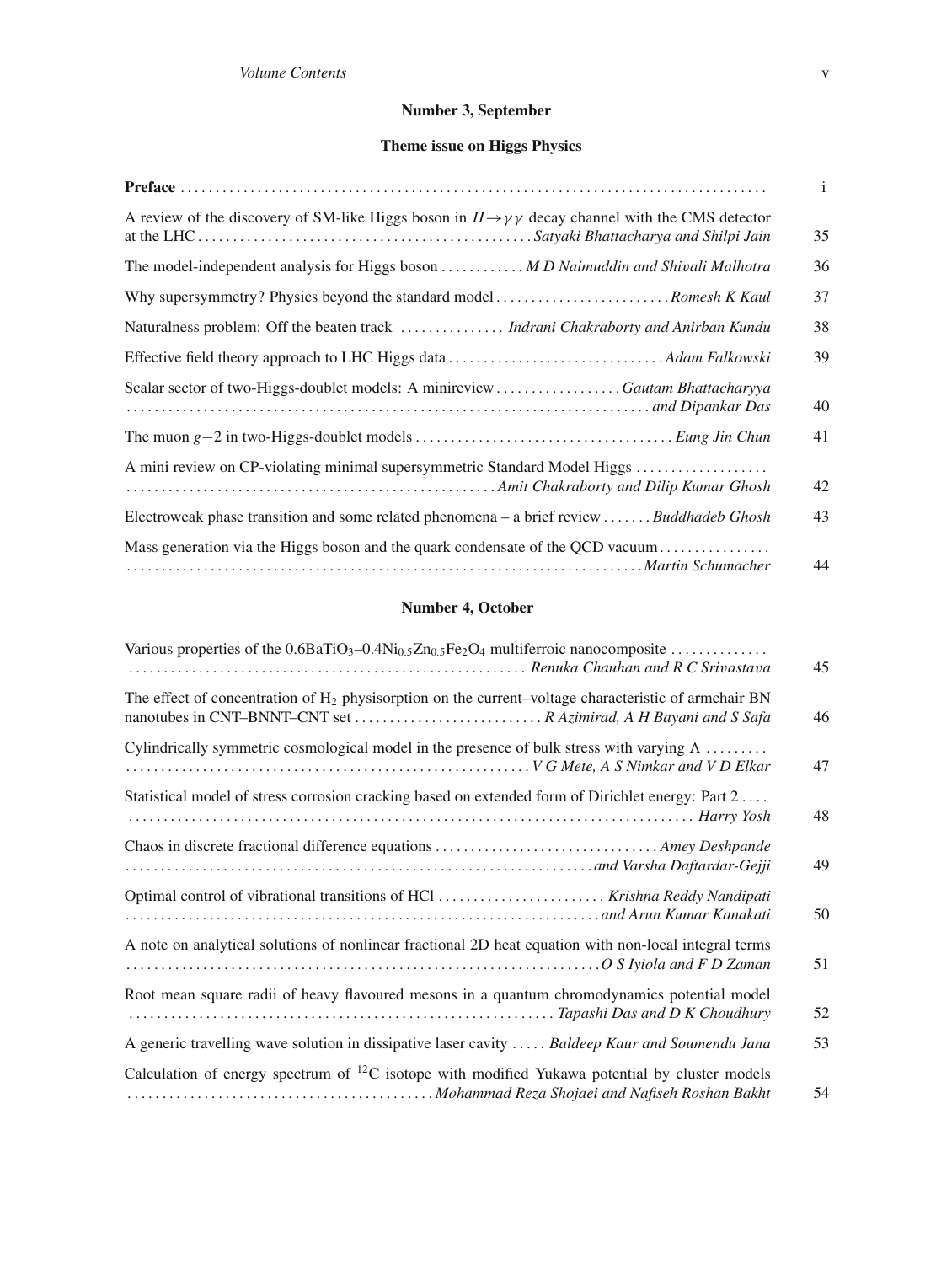## **Number 3, September**

## **Theme issue on Higgs Physics**

|                                                                                                                       | $\mathbf{i}$ |
|-----------------------------------------------------------------------------------------------------------------------|--------------|
| A review of the discovery of SM-like Higgs boson in $H \rightarrow \gamma \gamma$ decay channel with the CMS detector | 35           |
| The model-independent analysis for Higgs boson  M D Naimuddin and Shivali Malhotra                                    | 36           |
|                                                                                                                       | 37           |
| Naturalness problem: Off the beaten track  Indrani Chakraborty and Anirban Kundu                                      | 38           |
|                                                                                                                       | 39           |
| Scalar sector of two-Higgs-doublet models: A minireview Gautam Bhattacharyya                                          | 40           |
|                                                                                                                       | 41           |
| A mini review on CP-violating minimal supersymmetric Standard Model Higgs                                             | 42           |
| Electroweak phase transition and some related phenomena – a brief review Buddhadeb Ghosh                              | 43           |
|                                                                                                                       | 44           |

## **Number 4, October**

| Various properties of the $0.6BaTiO_3-0.4Ni_{0.5}Zn_{0.5}Fe_2O_4$ multiferroic nanocomposite                                  | 45 |
|-------------------------------------------------------------------------------------------------------------------------------|----|
| The effect of concentration of $H_2$ physisorption on the current-voltage characteristic of armchair BN                       | 46 |
| Cylindrically symmetric cosmological model in the presence of bulk stress with varying $\Lambda$                              | 47 |
| Statistical model of stress corrosion cracking based on extended form of Dirichlet energy: Part 2                             | 48 |
|                                                                                                                               | 49 |
| Optimal control of vibrational transitions of HCl  Krishna Reddy Nandipati                                                    | 50 |
| A note on analytical solutions of nonlinear fractional 2D heat equation with non-local integral terms                         | 51 |
| Root mean square radii of heavy flavoured mesons in a quantum chromodynamics potential model<br>Tapashi Das and D K Choudhury | 52 |
| A generic travelling wave solution in dissipative laser cavity  Baldeep Kaur and Soumendu Jana                                | 53 |
| Calculation of energy spectrum of ${}^{12}C$ isotope with modified Yukawa potential by cluster models                         | 54 |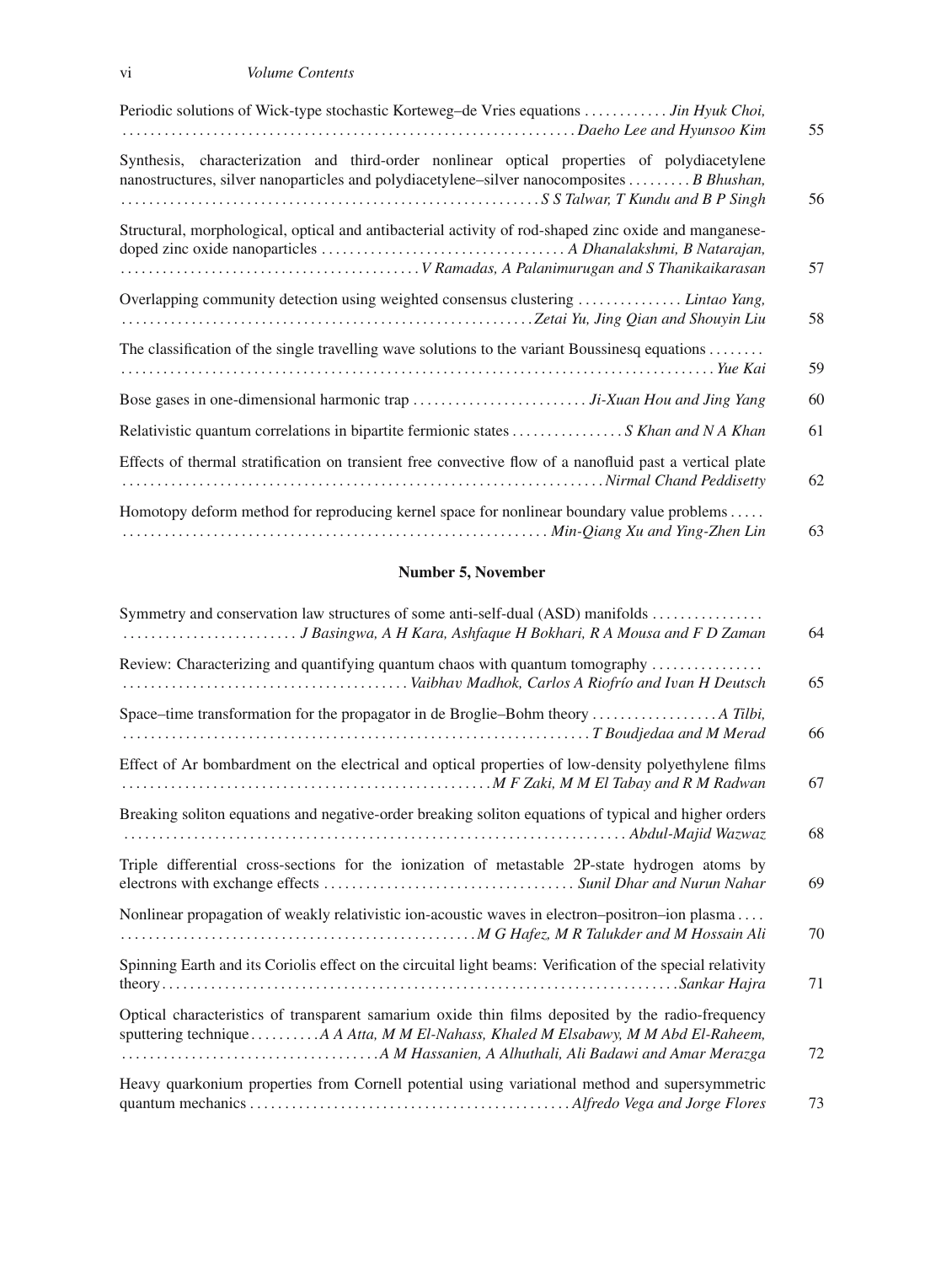vi *Volume Contents*

| Periodic solutions of Wick-type stochastic Korteweg-de Vries equations  Jin Hyuk Choi,                                                                                                   | 55 |
|------------------------------------------------------------------------------------------------------------------------------------------------------------------------------------------|----|
| Synthesis, characterization and third-order nonlinear optical properties of polydiacetylene<br>nanostructures, silver nanoparticles and polydiacetylene–silver nanocomposites B Bhushan, | 56 |
| Structural, morphological, optical and antibacterial activity of rod-shaped zinc oxide and manganese-                                                                                    | 57 |
| Overlapping community detection using weighted consensus clustering  Lintao Yang,                                                                                                        | 58 |
| The classification of the single travelling wave solutions to the variant Boussinesq equations                                                                                           | 59 |
|                                                                                                                                                                                          | 60 |
| Relativistic quantum correlations in bipartite fermionic states  S Khan and N A Khan                                                                                                     | 61 |
| Effects of thermal stratification on transient free convective flow of a nanofluid past a vertical plate                                                                                 | 62 |
| Homotopy deform method for reproducing kernel space for nonlinear boundary value problems                                                                                                | 63 |

## **Number 5, November**

| Symmetry and conservation law structures of some anti-self-dual (ASD) manifolds                                                                                                           | 64 |
|-------------------------------------------------------------------------------------------------------------------------------------------------------------------------------------------|----|
| Review: Characterizing and quantifying quantum chaos with quantum tomography                                                                                                              | 65 |
|                                                                                                                                                                                           | 66 |
| Effect of Ar bombardment on the electrical and optical properties of low-density polyethylene films                                                                                       | 67 |
| Breaking soliton equations and negative-order breaking soliton equations of typical and higher orders                                                                                     | 68 |
| Triple differential cross-sections for the ionization of metastable 2P-state hydrogen atoms by                                                                                            | 69 |
| Nonlinear propagation of weakly relativistic ion-acoustic waves in electron-positron-ion plasma                                                                                           | 70 |
| Spinning Earth and its Coriolis effect on the circuital light beams: Verification of the special relativity                                                                               | 71 |
| Optical characteristics of transparent samarium oxide thin films deposited by the radio-frequency<br>sputtering technique  A A Atta, M M El-Nahass, Khaled M Elsabawy, M M Abd El-Raheem, | 72 |
| Heavy quarkonium properties from Cornell potential using variational method and supersymmetric                                                                                            | 73 |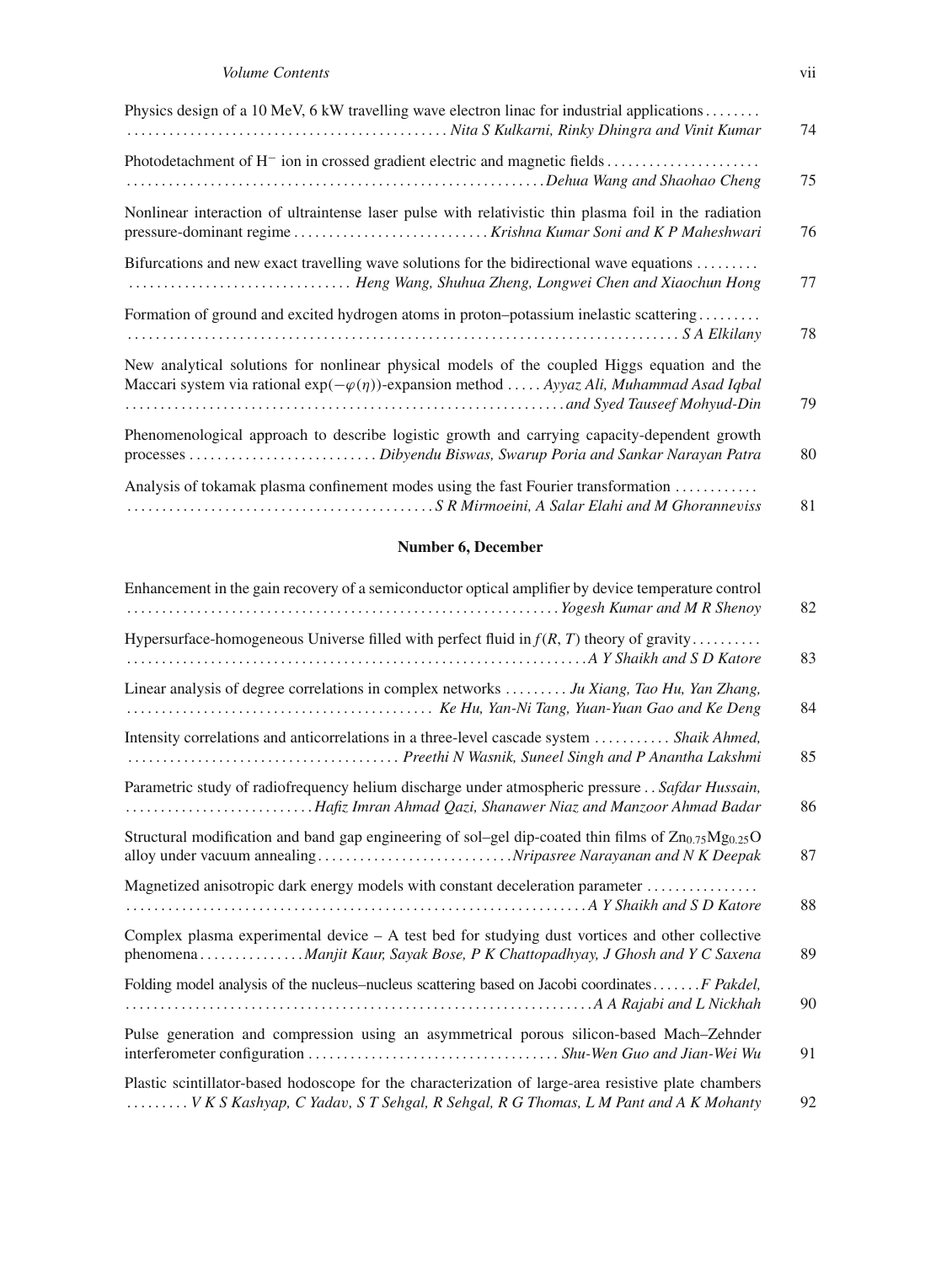| Physics design of a 10 MeV, 6 kW travelling wave electron linac for industrial applications                                                                                                         | 74 |
|-----------------------------------------------------------------------------------------------------------------------------------------------------------------------------------------------------|----|
|                                                                                                                                                                                                     | 75 |
| Nonlinear interaction of ultraintense laser pulse with relativistic thin plasma foil in the radiation                                                                                               | 76 |
| Bifurcations and new exact travelling wave solutions for the bidirectional wave equations                                                                                                           | 77 |
| Formation of ground and excited hydrogen atoms in proton-potassium inelastic scattering                                                                                                             | 78 |
| New analytical solutions for nonlinear physical models of the coupled Higgs equation and the<br>Maccari system via rational $exp(-\varphi(\eta))$ -expansion method  Ayyaz Ali, Muhammad Asad Iqbal | 79 |
| Phenomenological approach to describe logistic growth and carrying capacity-dependent growth                                                                                                        | 80 |
| Analysis of tokamak plasma confinement modes using the fast Fourier transformation                                                                                                                  | 81 |

#### **Number 6, December**

| Enhancement in the gain recovery of a semiconductor optical amplifier by device temperature control                                                                                        | 82 |
|--------------------------------------------------------------------------------------------------------------------------------------------------------------------------------------------|----|
| Hypersurface-homogeneous Universe filled with perfect fluid in $f(R, T)$ theory of gravity                                                                                                 | 83 |
| Linear analysis of degree correlations in complex networks  Ju Xiang, Tao Hu, Yan Zhang,                                                                                                   | 84 |
| Intensity correlations and anticorrelations in a three-level cascade system  Shaik Ahmed,                                                                                                  | 85 |
| Parametric study of radiofrequency helium discharge under atmospheric pressure Safdar Hussain,<br>Hafiz Imran Ahmad Qazi, Shanawer Niaz and Manzoor Ahmad Badar                            | 86 |
| Structural modification and band gap engineering of sol-gel dip-coated thin films of $Zn_{0.75}Mg_{0.25}O$                                                                                 | 87 |
| Magnetized anisotropic dark energy models with constant deceleration parameter                                                                                                             | 88 |
| Complex plasma experimental device $- A$ test bed for studying dust vortices and other collective<br>phenomena Manjit Kaur, Sayak Bose, P K Chattopadhyay, J Ghosh and Y C Saxena          | 89 |
| Folding model analysis of the nucleus–nucleus scattering based on Jacobi coordinates F Pakdel,                                                                                             | 90 |
| Pulse generation and compression using an asymmetrical porous silicon-based Mach-Zehnder                                                                                                   | 91 |
| Plastic scintillator-based hodoscope for the characterization of large-area resistive plate chambers<br>V K S Kashyap, C Yadav, S T Sehgal, R Sehgal, R G Thomas, L M Pant and A K Mohanty | 92 |